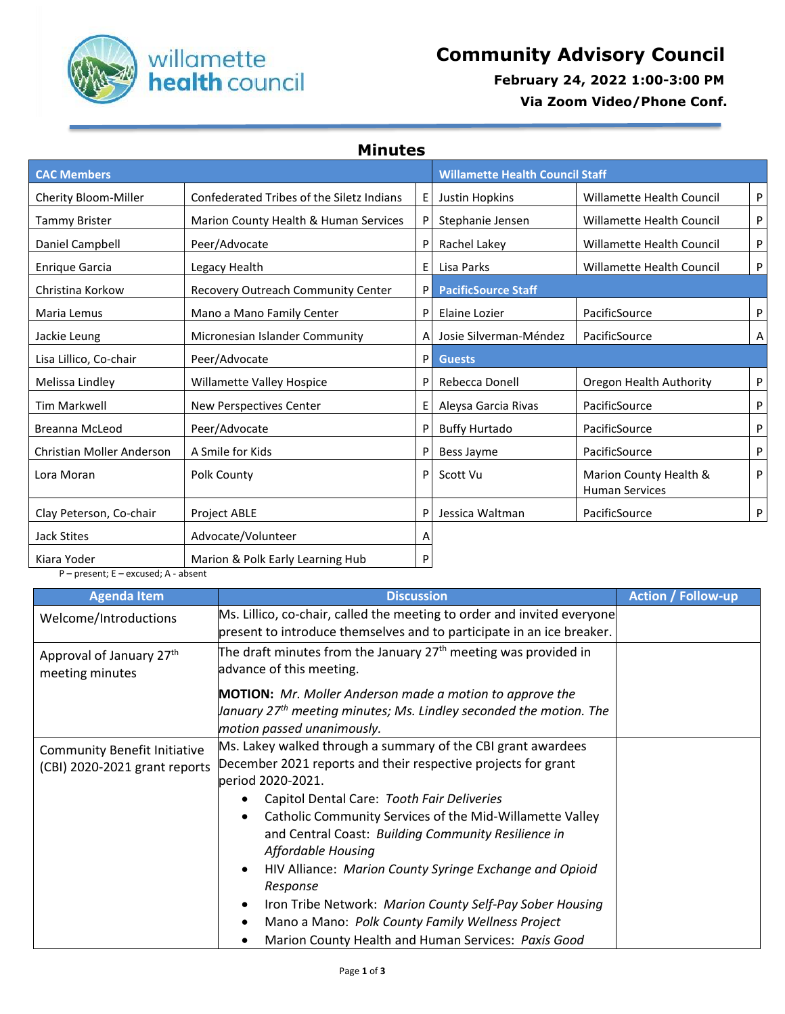

## Willamette **Community Advisory Council**<br> **Community Advisory Council**<br> **Community Advisory Council**<br> **February 24, 2022 1:00-3:00 PM**

 **February 24, 2022 1:00-3:00 PM**

 **Via Zoom Video/Phone Conf.**

**Minutes**

| <b>CAC Members</b>        |                                           |   | <b>Willamette Health Council Staff</b> |                                                 |   |
|---------------------------|-------------------------------------------|---|----------------------------------------|-------------------------------------------------|---|
| Cherity Bloom-Miller      | Confederated Tribes of the Siletz Indians | E | Justin Hopkins                         | <b>Willamette Health Council</b>                | P |
| <b>Tammy Brister</b>      | Marion County Health & Human Services     | P | Stephanie Jensen                       | Willamette Health Council                       | P |
| Daniel Campbell           | Peer/Advocate                             | P | Rachel Lakey                           | <b>Willamette Health Council</b>                | P |
| <b>Enrique Garcia</b>     | Legacy Health                             | E | Lisa Parks                             | Willamette Health Council                       | P |
| Christina Korkow          | Recovery Outreach Community Center        | P | <b>PacificSource Staff</b>             |                                                 |   |
| Maria Lemus               | Mano a Mano Family Center                 | P | Elaine Lozier                          | PacificSource                                   | P |
| Jackie Leung              | Micronesian Islander Community            | A | Josie Silverman-Méndez                 | PacificSource                                   | Α |
| Lisa Lillico, Co-chair    | Peer/Advocate                             | P | <b>Guests</b>                          |                                                 |   |
| Melissa Lindley           | Willamette Valley Hospice                 | P | Rebecca Donell                         | Oregon Health Authority                         | P |
| <b>Tim Markwell</b>       | New Perspectives Center                   | E | Aleysa Garcia Rivas                    | PacificSource                                   | P |
| <b>Breanna McLeod</b>     | Peer/Advocate                             | P | <b>Buffy Hurtado</b>                   | PacificSource                                   | P |
| Christian Moller Anderson | A Smile for Kids                          | P | Bess Jayme                             | PacificSource                                   | P |
| Lora Moran                | Polk County                               | P | Scott Vu                               | Marion County Health &<br><b>Human Services</b> | P |
| Clay Peterson, Co-chair   | <b>Project ABLE</b>                       | P | Jessica Waltman                        | PacificSource                                   | P |
| Jack Stites               | Advocate/Volunteer                        | Α |                                        |                                                 |   |
| Kiara Yoder               | Marion & Polk Early Learning Hub          | P |                                        |                                                 |   |

P – present; E – excused; A - absent

| <b>Agenda Item</b>                                                   | <b>Discussion</b>                                                                                                                                | <b>Action / Follow-up</b> |
|----------------------------------------------------------------------|--------------------------------------------------------------------------------------------------------------------------------------------------|---------------------------|
| Welcome/Introductions                                                | Ms. Lillico, co-chair, called the meeting to order and invited everyone<br>present to introduce themselves and to participate in an ice breaker. |                           |
| Approval of January 27th<br>meeting minutes                          | The draft minutes from the January 27 <sup>th</sup> meeting was provided in<br>advance of this meeting.                                          |                           |
|                                                                      | <b>MOTION:</b> Mr. Moller Anderson made a motion to approve the                                                                                  |                           |
|                                                                      | $\mu$ anuary 27 <sup>th</sup> meeting minutes; Ms. Lindley seconded the motion. The<br>motion passed unanimously.                                |                           |
| <b>Community Benefit Initiative</b><br>(CBI) 2020-2021 grant reports | Ms. Lakey walked through a summary of the CBI grant awardees                                                                                     |                           |
|                                                                      | December 2021 reports and their respective projects for grant<br>period 2020-2021.                                                               |                           |
|                                                                      | Capitol Dental Care: Tooth Fair Deliveries                                                                                                       |                           |
|                                                                      | Catholic Community Services of the Mid-Willamette Valley<br>٠                                                                                    |                           |
|                                                                      | and Central Coast: Building Community Resilience in<br>Affordable Housing                                                                        |                           |
|                                                                      | HIV Alliance: Marion County Syringe Exchange and Opioid<br>$\bullet$                                                                             |                           |
|                                                                      | Response                                                                                                                                         |                           |
|                                                                      | Iron Tribe Network: Marion County Self-Pay Sober Housing                                                                                         |                           |
|                                                                      | Mano a Mano: Polk County Family Wellness Project                                                                                                 |                           |
|                                                                      | Marion County Health and Human Services: Paxis Good                                                                                              |                           |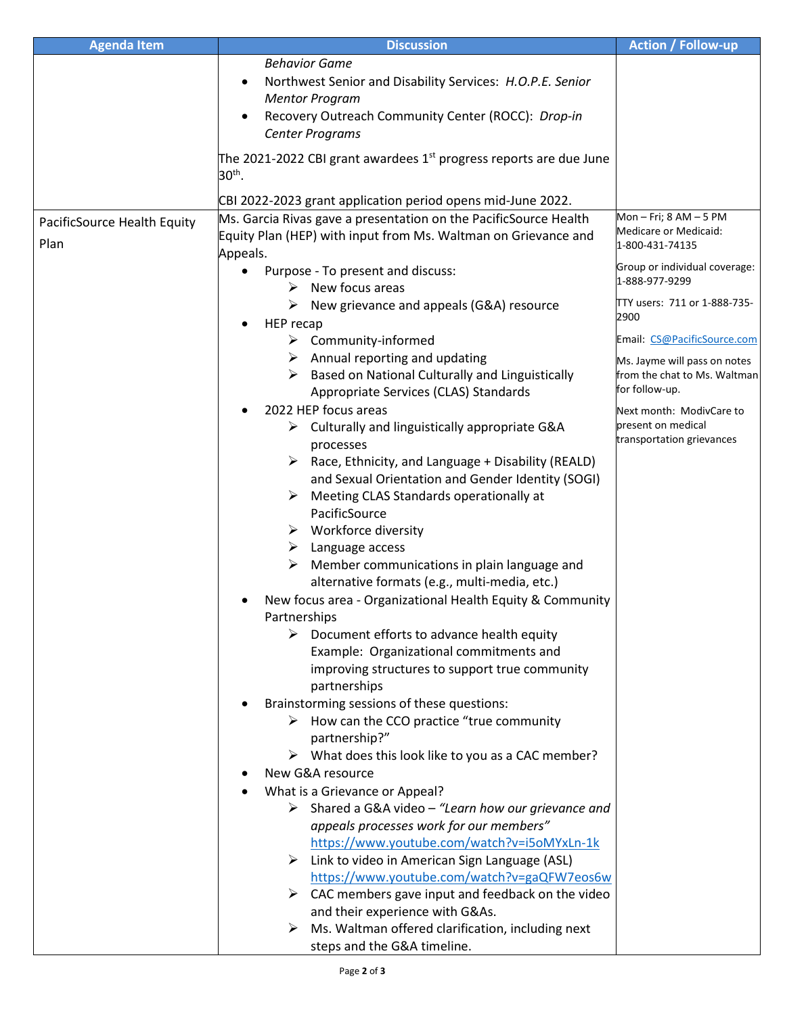| <b>Agenda Item</b>          | <b>Discussion</b>                                                                                                               | <b>Action / Follow-up</b>     |
|-----------------------------|---------------------------------------------------------------------------------------------------------------------------------|-------------------------------|
|                             | <b>Behavior Game</b>                                                                                                            |                               |
|                             | Northwest Senior and Disability Services: H.O.P.E. Senior<br>$\bullet$                                                          |                               |
|                             | <b>Mentor Program</b>                                                                                                           |                               |
|                             | Recovery Outreach Community Center (ROCC): Drop-in                                                                              |                               |
|                             | Center Programs                                                                                                                 |                               |
|                             | The 2021-2022 CBI grant awardees $1st$ progress reports are due June                                                            |                               |
|                             | $30th$ .                                                                                                                        |                               |
|                             |                                                                                                                                 |                               |
|                             | CBI 2022-2023 grant application period opens mid-June 2022.<br>Ms. Garcia Rivas gave a presentation on the PacificSource Health | Mon - Fri; $8 AM - 5 PM$      |
| PacificSource Health Equity | Equity Plan (HEP) with input from Ms. Waltman on Grievance and                                                                  | Medicare or Medicaid:         |
| Plan                        | Appeals.                                                                                                                        | 1-800-431-74135               |
|                             | Purpose - To present and discuss:                                                                                               | Group or individual coverage: |
|                             | New focus areas<br>➤                                                                                                            | 1-888-977-9299                |
|                             | $\triangleright$ New grievance and appeals (G&A) resource                                                                       | TTY users: 711 or 1-888-735-  |
|                             | HEP recap                                                                                                                       | 2900                          |
|                             | $\triangleright$ Community-informed                                                                                             | Email: CS@PacificSource.com   |
|                             | $\triangleright$ Annual reporting and updating                                                                                  | Ms. Jayme will pass on notes  |
|                             | $\triangleright$ Based on National Culturally and Linguistically                                                                | from the chat to Ms. Waltman  |
|                             | Appropriate Services (CLAS) Standards                                                                                           | for follow-up.                |
|                             | 2022 HEP focus areas                                                                                                            | Next month: ModivCare to      |
|                             | $\triangleright$ Culturally and linguistically appropriate G&A                                                                  | present on medical            |
|                             | processes                                                                                                                       | transportation grievances     |
|                             | Race, Ethnicity, and Language + Disability (REALD)<br>➤                                                                         |                               |
|                             | and Sexual Orientation and Gender Identity (SOGI)                                                                               |                               |
|                             | Meeting CLAS Standards operationally at                                                                                         |                               |
|                             | PacificSource<br>$\triangleright$ Workforce diversity                                                                           |                               |
|                             | Language access<br>➤                                                                                                            |                               |
|                             | Member communications in plain language and<br>➤                                                                                |                               |
|                             | alternative formats (e.g., multi-media, etc.)                                                                                   |                               |
|                             | New focus area - Organizational Health Equity & Community                                                                       |                               |
|                             | Partnerships                                                                                                                    |                               |
|                             | Document efforts to advance health equity<br>➤                                                                                  |                               |
|                             | Example: Organizational commitments and                                                                                         |                               |
|                             | improving structures to support true community                                                                                  |                               |
|                             | partnerships                                                                                                                    |                               |
|                             | Brainstorming sessions of these questions:                                                                                      |                               |
|                             | $\triangleright$ How can the CCO practice "true community"                                                                      |                               |
|                             | partnership?"                                                                                                                   |                               |
|                             | $\triangleright$ What does this look like to you as a CAC member?                                                               |                               |
|                             | New G&A resource                                                                                                                |                               |
|                             | What is a Grievance or Appeal?                                                                                                  |                               |
|                             | $\triangleright$ Shared a G&A video - "Learn how our grievance and                                                              |                               |
|                             | appeals processes work for our members"                                                                                         |                               |
|                             | https://www.youtube.com/watch?v=i5oMYxLn-1k<br>$\triangleright$ Link to video in American Sign Language (ASL)                   |                               |
|                             | https://www.youtube.com/watch?v=gaQFW7eos6w                                                                                     |                               |
|                             | $\triangleright$ CAC members gave input and feedback on the video                                                               |                               |
|                             | and their experience with G&As.                                                                                                 |                               |
|                             | Ms. Waltman offered clarification, including next<br>➤                                                                          |                               |
|                             | steps and the G&A timeline.                                                                                                     |                               |